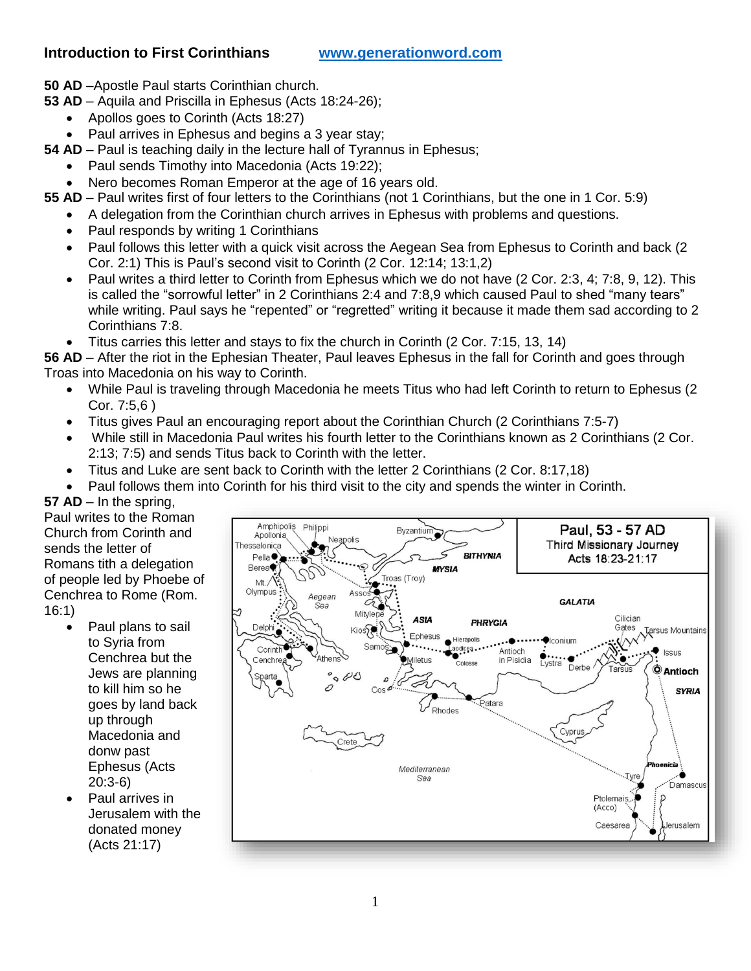### **Introduction to First Corinthians [www.generationword.com](http://www.generationword.com/)**

- **50 AD** –Apostle Paul starts Corinthian church.
- **53 AD** Aquila and Priscilla in Ephesus (Acts 18:24-26);
	- Apollos goes to Corinth (Acts 18:27)
	- Paul arrives in Ephesus and begins a 3 year stay;
- **54 AD** Paul is teaching daily in the lecture hall of Tyrannus in Ephesus;
	- Paul sends Timothy into Macedonia (Acts 19:22);
	- Nero becomes Roman Emperor at the age of 16 years old.
- **55 AD** Paul writes first of four letters to the Corinthians (not 1 Corinthians, but the one in 1 Cor. 5:9)
	- A delegation from the Corinthian church arrives in Ephesus with problems and questions.
	- Paul responds by writing 1 Corinthians
	- Paul follows this letter with a quick visit across the Aegean Sea from Ephesus to Corinth and back (2 Cor. 2:1) This is Paul's second visit to Corinth (2 Cor. 12:14; 13:1,2)
	- Paul writes a third letter to Corinth from Ephesus which we do not have (2 Cor. 2:3, 4; 7:8, 9, 12). This is called the "sorrowful letter" in 2 Corinthians 2:4 and 7:8,9 which caused Paul to shed "many tears" while writing. Paul says he "repented" or "regretted" writing it because it made them sad according to 2 Corinthians 7:8.
	- Titus carries this letter and stays to fix the church in Corinth (2 Cor. 7:15, 13, 14)
- **56 AD** After the riot in the Ephesian Theater, Paul leaves Ephesus in the fall for Corinth and goes through Troas into Macedonia on his way to Corinth.
	- While Paul is traveling through Macedonia he meets Titus who had left Corinth to return to Ephesus (2 Cor. 7:5,6 )
	- Titus gives Paul an encouraging report about the Corinthian Church (2 Corinthians 7:5-7)
	- While still in Macedonia Paul writes his fourth letter to the Corinthians known as 2 Corinthians (2 Cor. 2:13; 7:5) and sends Titus back to Corinth with the letter.
	- Titus and Luke are sent back to Corinth with the letter 2 Corinthians (2 Cor. 8:17,18)
	- Paul follows them into Corinth for his third visit to the city and spends the winter in Corinth.

**57 AD** – In the spring, Paul writes to the Roman Church from Corinth and sends the letter of Romans tith a delegation of people led by Phoebe of Cenchrea to Rome (Rom. 16:1)

- Paul plans to sail to Syria from Cenchrea but the Jews are planning to kill him so he goes by land back up through Macedonia and donw past Ephesus (Acts 20:3-6)
- Paul arrives in Jerusalem with the donated money (Acts 21:17)

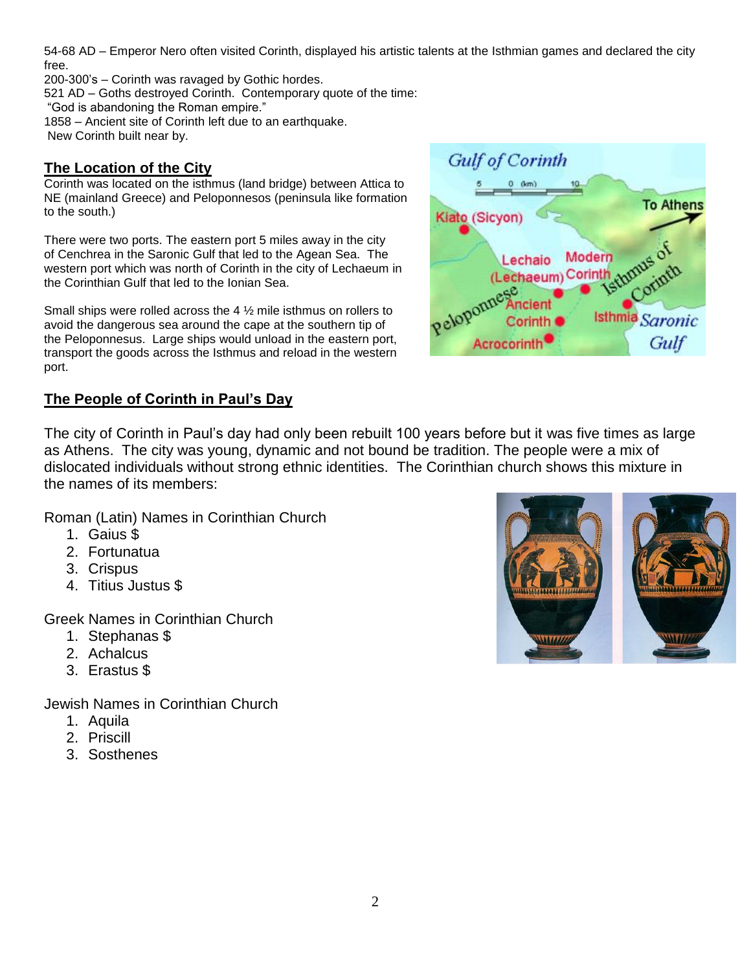54-68 AD – Emperor Nero often visited Corinth, displayed his artistic talents at the Isthmian games and declared the city free.

200-300's – Corinth was ravaged by Gothic hordes.

521 AD – Goths destroyed Corinth. Contemporary quote of the time:

"God is abandoning the Roman empire."

1858 – Ancient site of Corinth left due to an earthquake. New Corinth built near by.

## **The Location of the City**

Corinth was located on the isthmus (land bridge) between Attica to NE (mainland Greece) and Peloponnesos (peninsula like formation to the south.)

There were two ports. The eastern port 5 miles away in the city of Cenchrea in the Saronic Gulf that led to the Agean Sea. The western port which was north of Corinth in the city of Lechaeum in the Corinthian Gulf that led to the Ionian Sea.

Small ships were rolled across the 4 ½ mile isthmus on rollers to avoid the dangerous sea around the cape at the southern tip of the Peloponnesus. Large ships would unload in the eastern port, transport the goods across the Isthmus and reload in the western port.

# **The People of Corinth in Paul's Day**

The city of Corinth in Paul's day had only been rebuilt 100 years before but it was five times as large as Athens. The city was young, dynamic and not bound be tradition. The people were a mix of dislocated individuals without strong ethnic identities. The Corinthian church shows this mixture in the names of its members:

Roman (Latin) Names in Corinthian Church

- 1. Gaius \$
- 2. Fortunatua
- 3. Crispus
- 4. Titius Justus \$

Greek Names in Corinthian Church

- 1. Stephanas \$
- 2. Achalcus
- 3. Erastus \$

Jewish Names in Corinthian Church

- 1. Aquila
- 2. Priscill
- 3. Sosthenes



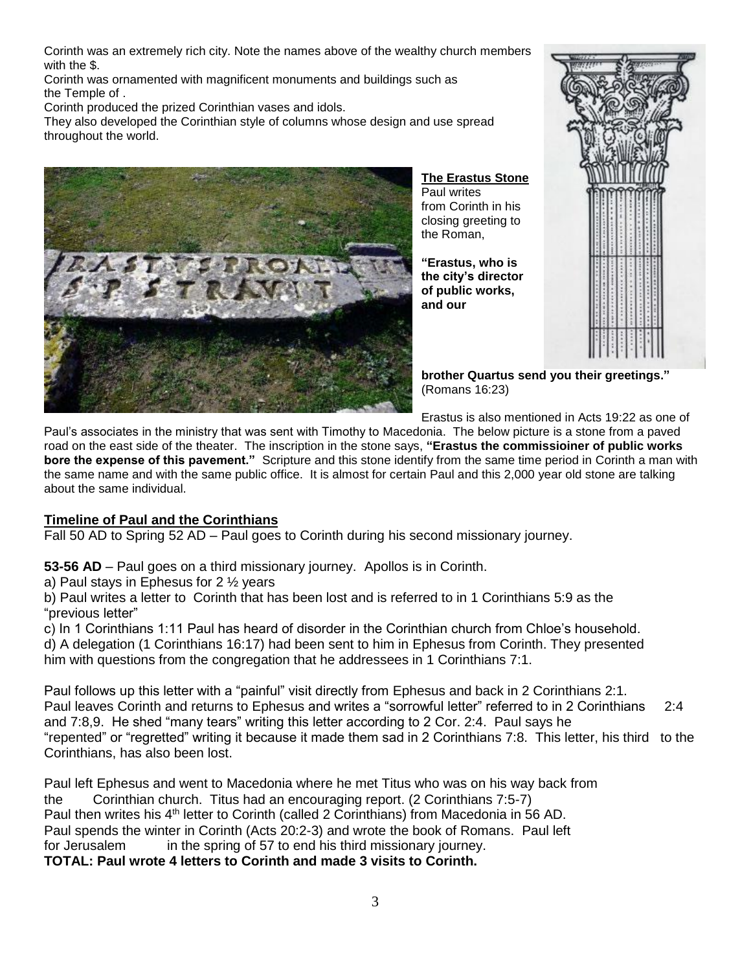Corinth was an extremely rich city. Note the names above of the wealthy church members with the \$.

Corinth was ornamented with magnificent monuments and buildings such as the Temple of .

Corinth produced the prized Corinthian vases and idols.

They also developed the Corinthian style of columns whose design and use spread throughout the world.



#### **The Erastus Stone**

Paul writes from Corinth in his closing greeting to the Roman,

**"Erastus, who is the city's director of public works, and our** 



**brother Quartus send you their greetings."** (Romans 16:23)

Erastus is also mentioned in Acts 19:22 as one of

Paul's associates in the ministry that was sent with Timothy to Macedonia. The below picture is a stone from a paved road on the east side of the theater. The inscription in the stone says, **"Erastus the commissioiner of public works bore the expense of this pavement."** Scripture and this stone identify from the same time period in Corinth a man with the same name and with the same public office. It is almost for certain Paul and this 2,000 year old stone are talking about the same individual.

### **Timeline of Paul and the Corinthians**

Fall 50 AD to Spring 52 AD – Paul goes to Corinth during his second missionary journey.

**53-56 AD** – Paul goes on a third missionary journey. Apollos is in Corinth.

a) Paul stays in Ephesus for 2 ½ years

b) Paul writes a letter to Corinth that has been lost and is referred to in 1 Corinthians 5:9 as the "previous letter"

c) In 1 Corinthians 1:11 Paul has heard of disorder in the Corinthian church from Chloe's household. d) A delegation (1 Corinthians 16:17) had been sent to him in Ephesus from Corinth. They presented him with questions from the congregation that he addressees in 1 Corinthians 7:1.

Paul follows up this letter with a "painful" visit directly from Ephesus and back in 2 Corinthians 2:1. Paul leaves Corinth and returns to Ephesus and writes a "sorrowful letter" referred to in 2 Corinthians 2:4 and 7:8,9. He shed "many tears" writing this letter according to 2 Cor. 2:4. Paul says he "repented" or "regretted" writing it because it made them sad in 2 Corinthians 7:8. This letter, his third to the Corinthians, has also been lost.

Paul left Ephesus and went to Macedonia where he met Titus who was on his way back from the Corinthian church. Titus had an encouraging report. (2 Corinthians 7:5-7) Paul then writes his 4<sup>th</sup> letter to Corinth (called 2 Corinthians) from Macedonia in 56 AD. Paul spends the winter in Corinth (Acts 20:2-3) and wrote the book of Romans. Paul left for Jerusalem in the spring of 57 to end his third missionary journey. **TOTAL: Paul wrote 4 letters to Corinth and made 3 visits to Corinth.**